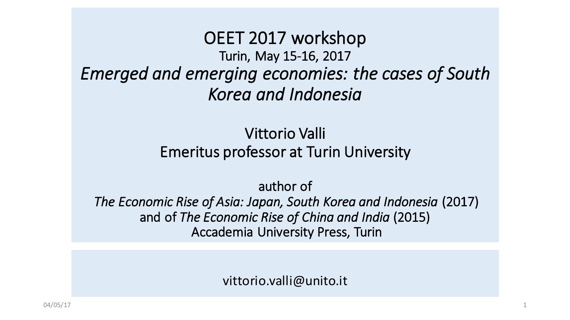OEET 2017 workshop Turin, May 15-16, 2017 Emerged and emerging economies: the cases of South *Korea and Indonesia*

### Vittorio Valli Emeritus professor at Turin University

author of

*The Economic Rise of Asia: Japan, South Korea and Indonesia* (2017) and of *The Economic Rise of China and India* (2015) Accademia University Press, Turin

vittorio.valli@unito.it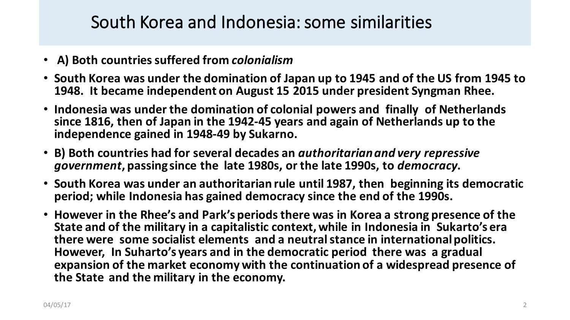### South Korea and Indonesia: some similarities

- **A) Both countries suffered from** *colonialism*
- South Korea was under the domination of Japan up to 1945 and of the US from 1945 to 1948. It became independent on August 15 2015 under president Syngman Rhee.
- Indonesia was under the domination of colonial powers and finally of Netherlands since 1816, then of Japan in the 1942-45 years and again of Netherlands up to the independence gained in 1948-49 by Sukarno.
- B) Both countries had for several decades an *authoritarian and very repressive* government, passing since the late 1980s, or the late 1990s, to *democracy*.
- South Korea was under an authoritarian rule until 1987, then beginning its democratic period; while Indonesia has gained democracy since the end of the 1990s.
- However in the Rhee's and Park's periods there was in Korea a strong presence of the State and of the military in a capitalistic context, while in Indonesia in Sukarto's era **there were some socialist elements and a neutral stance in international politics.** However, In Suharto's years and in the democratic period there was a gradual expansion of the market economy with the continuation of a widespread presence of the State and the military in the economy.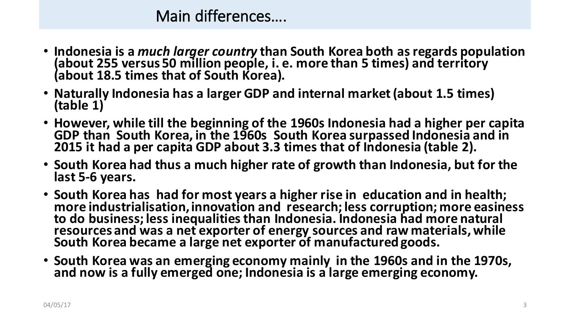### Main differences....

- Indonesia is a *much larger country* than South Korea both as regards population (about 255 versus 50 million people, i. e. more than 5 times) and territory (about 18.5 times that of South Korea).
- Naturally Indonesia has a larger GDP and internal market (about 1.5 times) **(table 1)**
- However, while till the beginning of the 1960s Indonesia had a higher per capita GDP than South Korea, in the 1960s South Korea surpassed Indonesia and in **2015** it had a per capita GDP about 3.3 times that of Indonesia (table 2).
- South Korea had thus a much higher rate of growth than Indonesia, but for the last 5-6 years.
- South Korea has had for most years a higher rise in education and in health; more industrialisation, innovation and research; less corruption; more easiness to do business; less inequalities than Indonesia. Indonesia had more natural resources and was a net exporter of energy sources and raw materials, while South Korea became a large net exporter of manufactured goods.
- South Korea was an emerging economy mainly in the 1960s and in the 1970s, and now is a fully emerged one; Indonesia is a large emerging economy.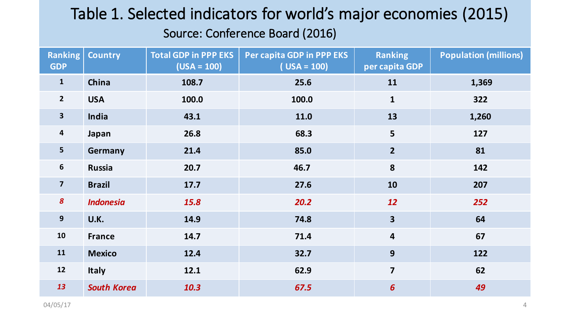# Table 1. Selected indicators for world's major economies (2015)

#### Source: Conference Board (2016)

| <b>Ranking</b><br><b>GDP</b> | <b>Country</b>     | <b>Total GDP in PPP EKS</b><br>$(USA = 100)$ | Per capita GDP in PPP EKS<br>$( USA = 100)$ | <b>Ranking</b><br>per capita GDP | <b>Population (millions)</b> |
|------------------------------|--------------------|----------------------------------------------|---------------------------------------------|----------------------------------|------------------------------|
| $\mathbf{1}$                 | China              | 108.7                                        | 25.6                                        | 11                               | 1,369                        |
| $\overline{2}$               | <b>USA</b>         | 100.0                                        | 100.0                                       | $\mathbf{1}$                     | 322                          |
| $\overline{\mathbf{3}}$      | India              | 43.1                                         | 11.0                                        | 13                               | 1,260                        |
| $\overline{\mathbf{4}}$      | Japan              | 26.8                                         | 68.3                                        | 5                                | 127                          |
| $5\phantom{a}$               | Germany            | 21.4                                         | 85.0                                        | $\overline{2}$                   | 81                           |
| $6\phantom{1}6$              | <b>Russia</b>      | 20.7                                         | 46.7                                        | 8                                | 142                          |
| $\overline{\mathbf{z}}$      | <b>Brazil</b>      | 17.7                                         | 27.6                                        | 10                               | 207                          |
| $\boldsymbol{8}$             | <b>Indonesia</b>   | 15.8                                         | 20.2                                        | 12                               | 252                          |
| $\mathbf{9}$                 | U.K.               | 14.9                                         | 74.8                                        | $\overline{\mathbf{3}}$          | 64                           |
| 10                           | <b>France</b>      | 14.7                                         | 71.4                                        | $\overline{\mathbf{4}}$          | 67                           |
| 11                           | <b>Mexico</b>      | 12.4                                         | 32.7                                        | 9                                | 122                          |
| 12                           | <b>Italy</b>       | 12.1                                         | 62.9                                        | $\overline{7}$                   | 62                           |
| 13                           | <b>South Korea</b> | 10.3                                         | 67.5                                        | $6\overline{6}$                  | 49                           |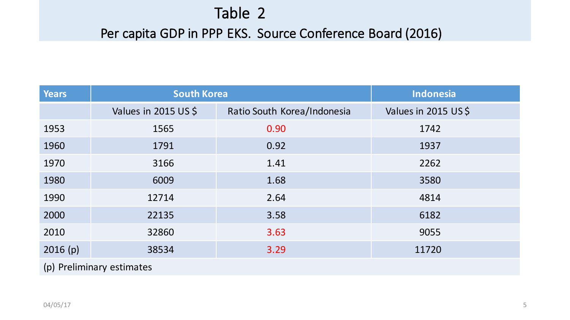### Table 2

#### Per capita GDP in PPP EKS. Source Conference Board (2016)

| <b>Years</b>              | <b>South Korea</b>   |                             | <b>Indonesia</b>    |  |  |  |
|---------------------------|----------------------|-----------------------------|---------------------|--|--|--|
|                           | Values in 2015 US \$ | Ratio South Korea/Indonesia | Values in 2015 US\$ |  |  |  |
| 1953                      | 1565                 | 0.90                        | 1742                |  |  |  |
| 1960                      | 1791                 | 0.92                        | 1937                |  |  |  |
| 1970                      | 3166                 | 1.41                        | 2262                |  |  |  |
| 1980                      | 6009                 | 1.68                        | 3580                |  |  |  |
| 1990                      | 12714                | 2.64                        | 4814                |  |  |  |
| 2000                      | 22135                | 3.58                        | 6182                |  |  |  |
| 2010                      | 32860                | 3.63                        | 9055                |  |  |  |
| 2016(p)                   | 38534                | 3.29                        | 11720               |  |  |  |
| (p) Preliminary estimates |                      |                             |                     |  |  |  |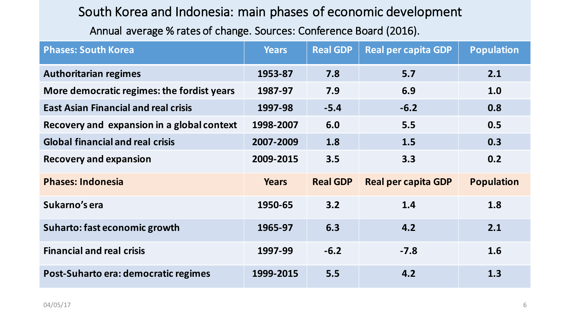#### South Korea and Indonesia: main phases of economic development

Annual average % rates of change. Sources: Conference Board (2016).

| <b>Phases: South Korea</b>                  | <b>Years</b> | <b>Real GDP</b> | <b>Real per capita GDP</b> | <b>Population</b> |
|---------------------------------------------|--------------|-----------------|----------------------------|-------------------|
| <b>Authoritarian regimes</b>                | 1953-87      | 7.8             | 5.7                        | 2.1               |
| More democratic regimes: the fordist years  | 1987-97      | 7.9             | 6.9                        | 1.0               |
| <b>East Asian Financial and real crisis</b> | 1997-98      | $-5.4$          | $-6.2$                     | 0.8               |
| Recovery and expansion in a global context  | 1998-2007    | 6.0             | 5.5                        | 0.5               |
| <b>Global financial and real crisis</b>     | 2007-2009    | 1.8             | 1.5                        | 0.3               |
| <b>Recovery and expansion</b>               | 2009-2015    | 3.5             | 3.3                        | 0.2               |
| <b>Phases: Indonesia</b>                    | <b>Years</b> | <b>Real GDP</b> | <b>Real per capita GDP</b> | <b>Population</b> |
| Sukarno's era                               | 1950-65      | 3.2             | 1.4                        | 1.8               |
| Suharto: fast economic growth               | 1965-97      | 6.3             | 4.2                        | 2.1               |
| <b>Financial and real crisis</b>            | 1997-99      | $-6.2$          | $-7.8$                     | 1.6               |
| Post-Suharto era: democratic regimes        | 1999-2015    | 5.5             | 4.2                        | 1.3               |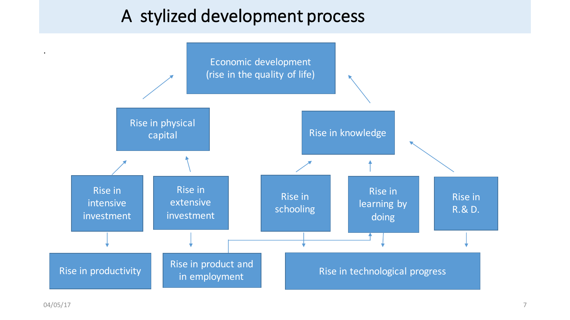## A stylized development process

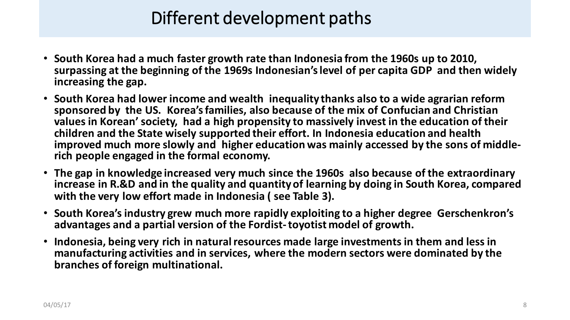# Different development paths

- South Korea had a much faster growth rate than Indonesia from the 1960s up to 2010, surpassing at the beginning of the 1969s Indonesian's level of per capita GDP and then widely increasing the gap.
- South Korea had lower income and wealth inequality thanks also to a wide agrarian reform sponsored by the US. Korea's families, also because of the mix of Confucian and Christian values in Korean' society, had a high propensity to massively invest in the education of their children and the State wisely supported their effort. In Indonesia education and health improved much more slowly and `higher education was mainly accessed by the sons of middle-<br>rich people engaged in the formal economy.
- The gap in knowledge increased very much since the 1960s also because of the extraordinary increase in R.&D and in the quality and quantity of learning by doing in South Korea, compared with the very low effort made in Indonesia ( see Table 3).
- South Korea's industry grew much more rapidly exploiting to a higher degree Gerschenkron's advantages and a partial version of the Fordist-toyotist model of growth.
- Indonesia, being very rich in natural resources made large investments in them and less in manufacturing activities and in services, where the modern sectors were dominated by the **branches of foreign multinational.**